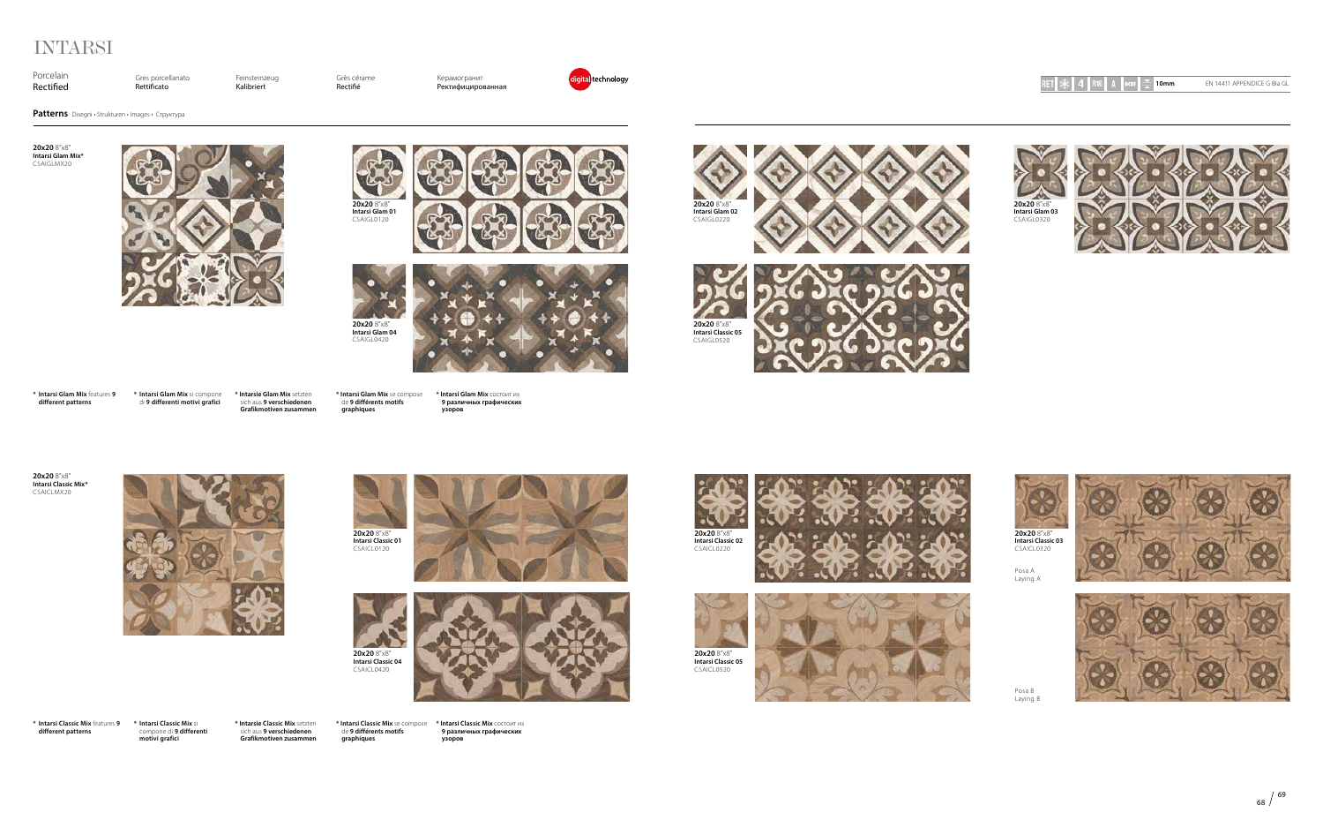Feinsteinzeug Kalibriert

Porcelain Rectified Gres porcellanato Rettificato

Grès cérame Rectié

Керамогранит Ректифицированная



# INTARSI

**Patterns** Disegni • Strukturen • Images • Cтруктура





**20x20** 8"x8" **Intarsi Glam Mix\*** CSAIGLMX20



**\* Intarsi Glam Mix** features **9 different patterns**

> **20x20** 8"x8" **Intarsi Classic 01** CSAICL0120



**\* Intarsi Glam Mix** si compone di **9 differenti motivi grafici \* Intarsie Glam Mix** setzten sich aus **9 verschiedenen Grafikmotiven zusammen**

**\* Intarsi Glam Mix** se compose de **9 différents motifs graphiques**

**\* Intarsi Glam Mix** состоит из **9 различных графических** 

**узоров**

**20x20** 8"x8" **Intarsi Glam 01** CSAIGL0120















**20x20** 8"x8" **Intarsi Classic Mix\*** CSAICLMX20















**20x20** 8"x8" **Intarsi Classic 03** CSAICL0320

**\* Intarsi Classic Mix** features **9 different patterns**

**\* Intarsi Classic Mix** si compone di **9 differenti motivi grafici** **\* Intarsie Classic Mix** setzten sich aus **9 verschiedenen Grafikmotiven zusammen**

de **9 différents motifs graphiques**

**\* Intarsi Classic Mix** se compose **\* Intarsi Classic Mix** состоит из **9 различных графических** 

**узоров**



Posa B Laying B

Posa A Laying A



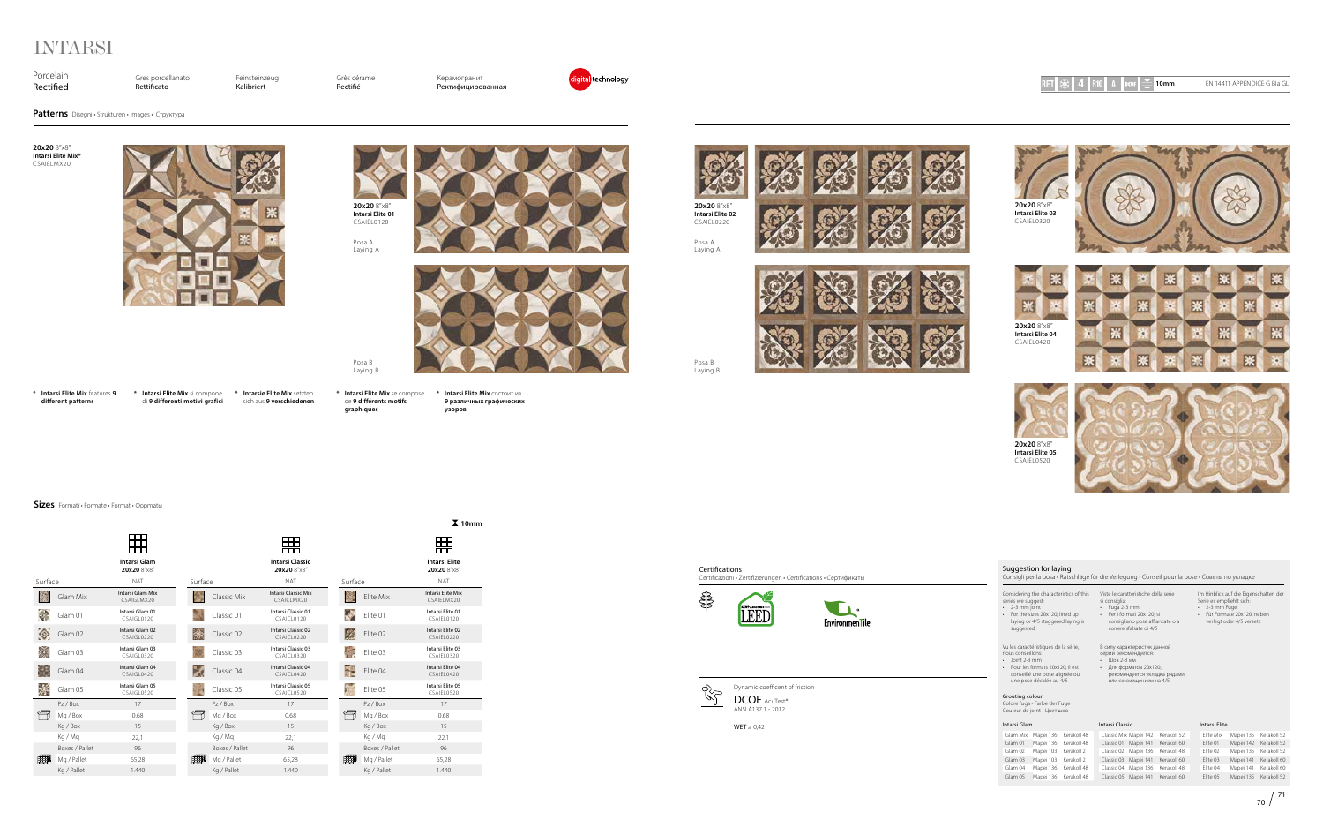

**20x20** 8"x8" **Intarsi Elite 04** CSAIEL0420

Gres porcellanato Rettificato



Porcelain Rectified

Feinsteinzeug Kalibriert

Grès cérame Rectié

Керамогранит Ректифицированная



# INTARSI

Dynamic coefficent of friction DCOF AcuTest® ANSI A137.1 - 2012

 $WET \geq 0.42$ 





**Sizes** Formati • Formate • Format • Фoрmatы



Certifications Certificazioni • Zertifizierungen • Certifications • Сертификаты

**Patterns** Disegni • Strukturen • Images • Cтруктура





**20x20** 8"x8" **Intarsi Elite Mix\*** CSAIELMX20



**20x20** 8"x8" **Intarsi Elite 01**











**Intarsi Elite 03** CSAIEL0320



**\* Intarsi Elite Mix** features **9 different patterns**

**\* Intarsi Elite Mix** si compone **\* Intarsie Elite Mix** setzten di **9 differenti motivi grafici** sich aus **9 verschiedenen**  CSAIEL0120 Posa A

**\* Intarsi Elite Mix** se compose **graphiques**

de **9 différents motifs** 

**\* Intarsi Elite Mix** состоит из **узоров**

**9 различных графических** 

Posa B Laying B

Posa B Laying B Posa A Laying A



Laying A





### Suggestion for laying

Consigli per la posa • Ratschläge für die Verlegung • Conseil pour la pose • Советы по укладке

Considering the characteristics of this

series we suggest: • 2-3 mm joint • For the sizes 20x120, lined up laying or 4/5 staggered laying is suggested

Viste le caratteristiche della serie

si consiglia:

• Fuga 2-3 mm • Per i formati 20x120, si consigliano pose affiancate o a correre sfalsate di 4/5 Im Hinblick auf die Eigenschaften der Serie es empfiehlt sich: • 2-3 mm Fuge • Für Formate 20x120, neben verlegt oder 4/5 versetz

Vu les caractéristiques de la série, nous conseillons:

- Joint 2-3 mm
- Pour les formats 20x120, il est conseillé une pose alignée ou une pose décalée au 4/5

В силу характеристик данной серии рекомендуется:

- Шов 2-3 мм
- Для форматов 20x120, рекомендуется укладка рядам или со смещением на 4/5

#### Grouting colour

Colore fuga - Farbe der Fuge Couleur de joint - Цвет шов

#### Intarsi Glam

| Glam Mix | Mapei 136 | Kerakoll 48 |
|----------|-----------|-------------|
| Glam 01  | Mapei 136 | Kerakoll 48 |
| Glam 02  | Mapei 103 | Kerakoll 2  |
| Glam 03  | Mapei 103 | Kerakoll 2  |
| Glam 04  | Mapei 136 | Kerakoll 48 |
| Glam 05  | Mapei 136 | Kerakoll 48 |

#### Intarsi Classic

|            | Classic Mix Mapei 142 | Kerakoll 52 |
|------------|-----------------------|-------------|
|            | Classic 01 Mapei 141  | Kerakoll 60 |
| Classic 02 | Mapei 136             | Kerakoll 48 |
| Classic 03 | Mapei 141             | Kerakoll 60 |
| Classic 04 | Mapei 136             | Kerakoll 48 |
| Classic 05 | Mapei 141             | Kerakoll 60 |

| Intarsi Elite |  |
|---------------|--|
|               |  |

| Elite Mix | Mapei 135 | Kerakoll 52 |
|-----------|-----------|-------------|
| Elite 01  | Mapei 142 | Kerakoll 52 |
| Elite 02  | Mapei 135 | Kerakoll 52 |
| Elite 03  | Mapei 141 | Kerakoll 60 |
| Elite 04  | Mapei 141 | Kerakoll 60 |
| Elite 05  | Mapei 135 | Kerakoll 52 |